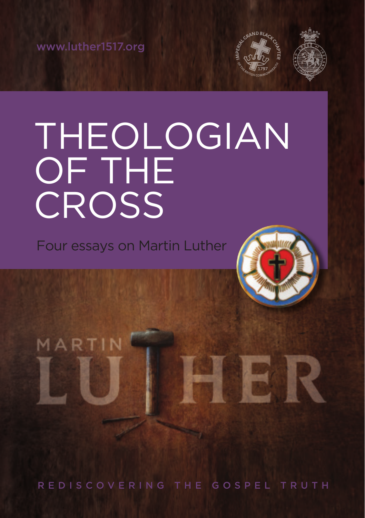www.luther1517.org

MARTIN



### THEOLOGIAN OF THE CROSS

Four essays on Martin Luther



H

REDISCOVERING THE GOSPEL TRUTH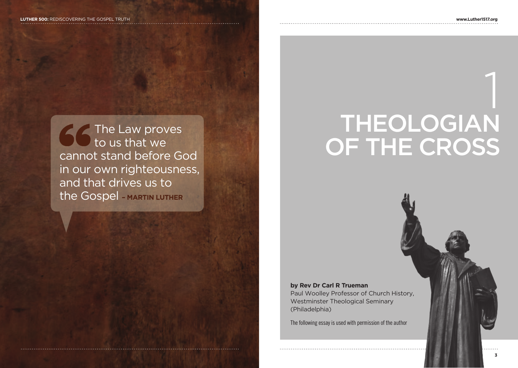The Law proves to us that we cannot stand before God in our own righteousness, and that drives us to the Gospel **– MARTIN LUTHER**



# 1 THEOLOGIAN OF THE CROSS

#### **by Rev Dr Carl R Trueman**

Paul Woolley Professor of Church History, Westminster Theological Seminary (Philadelphia)

The following essay is used with permission of the author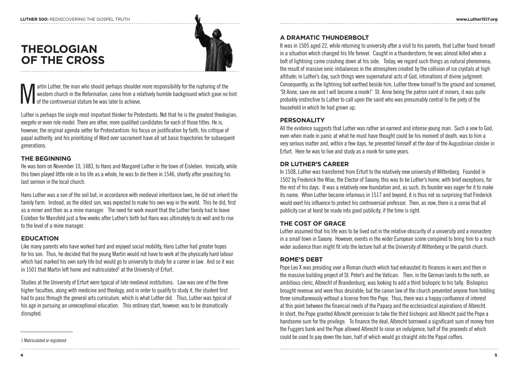### **THEOLOGIAN OF THE CROSS**



artin Luther, the man who should perhaps shoulder more responsibility for the rupturing of the western church in the Reformation, came from a relatively humble background which gave no hint of the controversial stature he was later to achieve.

Luther is perhaps the single most important thinker for Protestants. Not that he is the greatest theologian, exegete or even role model. There are other, more qualified candidates for each of those titles. He is, however, the original agenda setter for Protestantism: his focus on justification by faith, his critique of papal authority, and his prioritizing of Word over sacrament have all set basic trajectories for subsequent generations.

#### **THE BEGINNING**

He was born on November 10, 1483, to Hans and Margaret Luther in the town of Eisleben. Ironically, while this town played little role in his life as a whole, he was to die there in 1546, shortly after preaching his last sermon in the local church.

Hans Luther was a son of the soil but, in accordance with medieval inheritance laws, he did not inherit the family farm. Instead, as the oldest son, was expected to make his own way in the world. This he did, first as a miner and then as a mine manager. The need for work meant that the Luther family had to leave Eisleben for Mansfeld just a few weeks after Luther's birth but Hans was ultimately to do well and to rise to the level of a mine manager.

#### **EDUCATION**

Like many parents who have worked hard and enjoyed social mobility, Hans Luther had greater hopes for his son. Thus, he decided that the young Martin would not have to work at the physically hard labour which had marked his own early life but would go to university to study for a career in law. And so it was in 1501 that Martin left home and matriculated<sup>1</sup> at the University of Erfurt.

Studies at the University of Erfurt were typical of late medieval institutions. Law was one of the three higher faculties, along with medicine and theology, and in order to qualify to study it, the student first had to pass through the general arts curriculum, which is what Luther did. Thus, Luther was typical of his age in pursuing an unexceptional education. This ordinary start, however, was to be dramatically disrupted.

#### **A DRAMATIC THUNDERBOLT**

It was in 1505 aged 22, while returning to university after a visit to his parents, that Luther found himself in a situation which changed his life forever. Caught in a thunderstorm, he was almost killed when a bolt of lightning came crashing down at his side. Today, we regard such things as natural phenomena, the result of massive ionic imbalances in the atmosphere created by the collision of ice crystals at high altitude; in Luther's day, such things were supernatural acts of God, intimations of divine judgment. Consequently, as the lightning bolt earthed beside him, Luther threw himself to the ground and screamed, 'St Anne, save me and I will become a monk!' St. Anne being the patron saint of miners, it was quite probably instinctive to Luther to call upon the saint who was presumably central to the piety of the household in which he had grown up.

#### **PERSONALITY**

All the evidence suggests that Luther was rather an earnest and intense young man. Such a vow to God, even when made in panic at what he must have thought could be his moment of death, was to him a very serious matter and, within a few days, he presented himself at the door of the Augustinian cloister in Erfurt. Here he was to live and study as a monk for some years.

#### **DR LUTHER'S CAREER**

In 1508, Luther was transferred from Erfurt to the relatively new university of Wittenberg. Founded in 1502 by Frederick the Wise, the Elector of Saxony, this was to be Luther's home, with brief exceptions, for the rest of his days. It was a relatively new foundation and, as such, its founder was eager for it to make its name. When Luther became infamous in 1517 and beyond, it is thus not so surprising that Frederick would exert his influence to protect his controversial professor. Then, as now, there is a sense that all publicity can at least be made into good publicity, if the time is right.

#### **THE COST OF GRACE**

Luther assumed that his life was to be lived out in the relative obscurity of a university and a monastery in a small town in Saxony. However, events in the wider European scene conspired to bring him to a much wider audience than might fit into the lecture hall at the University of Wittenberg or the parish church.

#### **ROME'S DEBT**

Pope Leo X was presiding over a Roman church which had exhausted its finances in wars and then in the massive building project of St. Peter's and the Vatican. Then, in the German lands to the north, an ambitious cleric, Albrecht of Brandenburg, was looking to add a third bishopric to his tally. Bishoprics brought revenue and were thus desirable; but the canon law of the church prevented anyone from holding three simultaneously without a license from the Pope. Thus, there was a happy confluence of interest at this point between the financial needs of the Papacy and the ecclesiastical aspirations of Albrecht. In short, the Pope granted Albrecht permission to take the third bishopric and Albrecht paid the Pope a handsome sum for the privilege. To finance the deal, Albrecht borrowed a significant sum of money from the Fuggers bank and the Pope allowed Albrecht to raise an indulgence, half of the proceeds of which could be used to pay down the loan, half of which would go straight into the Papal coffers.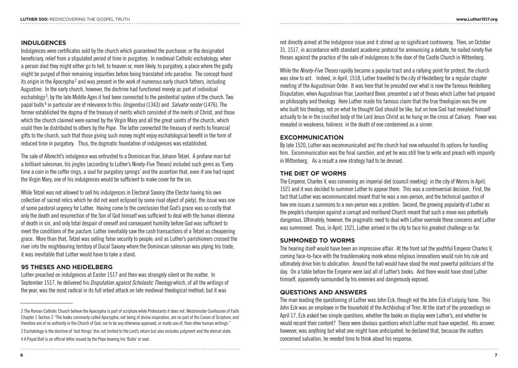#### **INDULGENCES**

Indulgences were certificates sold by the church which guaranteed the purchaser, or the designated beneficiary, relief from a stipulated period of time in purgatory. In medieval Catholic eschatology, when a person died they might either go to hell, to heaven or, more likely, to purgatory, a place where the godly might be purged of their remaining impurities before being translated into paradise. The concept found its origin in the Apocrypha<sup>2</sup> and was present in the work of numerous early church fathers, including Augustine. In the early church, however, the doctrine had functioned merely as part of individual eschatology<sup>3</sup>; by the late Middle Ages it had been connected to the penitential system of the church. Two papal bulls <sup>4</sup> in particular are of relevance to this: *Unigenitus* (1343) and *Salvator noster* (1476). The former established the dogma of the treasury of merits which consisted of the merits of Christ, and those which the church claimed were earned by the Virgin Mary and all the great saints of the church, which could then be distributed to others by the Pope. The latter connected the treasury of merits to financial gifts to the church, such that those giving such money might enjoy eschatological benefit in the form of reduced time in purgatory. Thus, the dogmatic foundation of indulgences was established.

The sale of Albrecht's indulgence was entrusted to a Dominican friar, Johann Tetzel. A profane man but a brilliant salesman, his jingles (according to Luther's Ninety-Five Theses) included such gems as 'Every time a coin in the coffer rings, a soul for purgatory springs' and the assertion that, even if one had raped the Virgin Mary, one of his indulgences would be sufficient to make cover for the sin.

While Tetzel was not allowed to sell his indulgences in Electoral Saxony (the Elector having his own collection of sacred relics which he did not want eclipsed by some rival object of piety), the issue was one of some pastoral urgency for Luther. Having come to the conclusion that God's grace was so costly that only the death and resurrection of the Son of God himself was sufficient to deal with the human dilemma of death in sin, and only total despair of oneself and consequent humility before God was sufficient to meet the conditions of the *pactum*, Luther inevitably saw the cash transactions of a Tetzel as cheapening grace. More than that, Tetzel was selling false security to people; and as Luther's parishioners crossed the river into the neighbouring territory of Ducal Saxony where the Dominican salesman was plying his trade, it was inevitable that Luther would have to take a stand.

#### **95 THESES AND HEIDELBERG**

Luther preached on indulgences at Easter 1517 and then was strangely silent on the matter. In September 1517, he delivered his *Disputation against Scholastic Theology* which, of all the writings of the year, was the most radical in its full orbed attack on late medieval theological method; but it was

4 A Papal Bull is an official letter issued by the Pope bearing his 'Bulla' or seal.

not directly aimed at the indulgence issue and it stirred up no significant controversy. Then, on October 31, 1517, in accordance with standard academic protocol for announcing a debate, he nailed ninety five theses against the practice of the sale of indulgences to the door of the Castle Church in Wittenberg.

While the *Ninety-Five Theses* rapidly became a popular tract and a rallying point for protest, the church was slow to act. Indeed, in April, 1518, Luther travelled to the city of Heidelberg for a regular chapter meeting of the Augustinian Order. It was here that he presided over what is now the famous Heidelberg Disputation, when Augustinian friar, Leonhard Beier, presented a set of theses which Luther had prepared on philosophy and theology. Here Luther made his famous claim that the true theologian was the one who built his theology, not on what he thought God should be like, but on how God had revealed himself actually to be in the crucified body of the Lord Jesus Christ as he hung on the cross at Calvary. Power was revealed in weakness; holiness in the death of one condemned as a sinner.

#### **EXCOMMUNICATION**

By late 1520, Luther was excommunicated and the church had now exhausted its options for handling him. Excommunication was the final sanction, and yet he was still free to write and preach with impunity in Wittenberg. As a result a new strategy had to be devised.

#### **THE DIET OF WORMS**

The Emperor, Charles V, was convening an imperial diet (council meeting) in the city of Worms in April, 1521 and it was decided to summon Luther to appear there. This was a controversial decision. First, the fact that Luther was excommunicated meant that he was a non-person, and the technical question of how one issues a summons to a non-person was a problem. Second, the growing popularity of Luther as the people's champion against a corrupt and moribund Church meant that such a move was potentially dangerous. Ultimately, however, the pragmatic need to deal with Luther overrode these concerns and Luther was summoned. Thus, in April, 1521, Luther arrived in the city to face his greatest challenge so far.

#### **SUMMONED TO WORMS**

The hearing itself would have been an impressive affair. At the front sat the youthful Emperor Charles V, coming face-to-face with the troublemaking monk whose religious innovations would ruin his rule and ultimately drive him to abdication. Around the hall would have stood the most powerful politicians of the day. On a table before the Emperor were laid all of Luther's books. And there would have stood Luther himself, apparently surrounded by his enemies and dangerously exposed.

#### **QUESTIONS AND ANSWERS**

The man leading the questioning of Luther was John Eck, though not the John Eck of Leipzig fame. This John Eck was an employee in the household of the Archbishop of Trier. At the start of the proceedings on April 17, Eck asked two simple questions, whether the books on display were Luther's, and whether he would recant their content? These were obvious questions which Luther must have expected. His answer, however, was anything but what one might have anticipated: he declared that, because the matters concerned salvation, he needed time to think about his response.

<sup>2</sup> The Roman Catholic Church believe the Apocrypha is part of scripture while Protestants it does not. Westminster Confession of Faith Chapter 1 Section 3 "The books commonly called Apocrypha, not being of divine inspiration, are no part of the Canon of Scripture; and therefore are of no authority in the Church of God, nor to be any otherwise approved, or made use of, than other human writings." 3 Eschatology is the doctrine of 'last things' this not limited to the Lord's return but also includes judgment and the eternal state.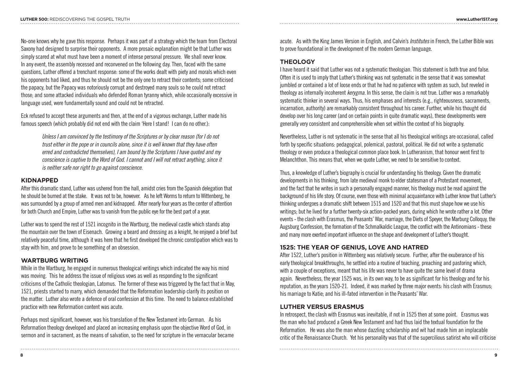No-one knows why he gave this response. Perhaps it was part of a strategy which the team from Electoral Saxony had designed to surprise their opponents. A more prosaic explanation might be that Luther was simply scared at what must have been a moment of intense personal pressure. We shall never know. In any event, the assembly recessed and reconvened on the following day. Then, faced with the same questions, Luther offered a trenchant response: some of the works dealt with piety and morals which even his opponents had liked, and thus he should not be the only one to retract their contents; some criticised the papacy, but the Papacy was notoriously corrupt and destroyed many souls so he could not retract those; and some attacked individuals who defended Roman tyranny which, while occasionally excessive in language used, were fundamentally sound and could not be retracted.

Eck refused to accept these arguments and then, at the end of a vigorous exchange, Luther made his famous speech (which probably did not end with the claim 'Here I stand! I can do no other.):

*Unless I am convinced by the testimony of the Scriptures or by clear reason (for I do not trust either in the pope or in councils alone, since it is well known that they have often erred and contradicted themselves), I am bound by the Scriptures I have quoted and my conscience is captive to the Word of God. I cannot and I will not retract anything, since it is neither safe nor right to go against conscience.*

#### **KIDNAPPED**

After this dramatic stand, Luther was ushered from the hall, amidst cries from the Spanish delegation that he should be burned at the stake. It was not to be, however. As he left Worms to return to Wittenberg, he was surrounded by a group of armed men and kidnapped. After nearly four years as the center of attention for both Church and Empire, Luther was to vanish from the public eye for the best part of a year.

Luther was to spend the rest of 1521 incognito in the Wartburg, the medieval castle which stands atop the mountain over the town of Eisenach. Growing a beard and dressing as a knight, he enjoyed a brief but relatively peaceful time, although it was here that he first developed the chronic constipation which was to stay with him, and prove to be something of an obsession.

#### **WARTBURG WRITING**

While in the Wartburg, he engaged in numerous theological writings which indicated the way his mind was moving. This he address the issue of religious vows as well as responding to the significant criticisms of the Catholic theologian, Latomus. The former of these was triggered by the fact that in May, 1521, priests started to marry, which demanded that the Reformation leadership clarify its position on the matter. Luther also wrote a defence of oral confession at this time. The need to balance established practice with new Reformation content was acute.

Perhaps most significant, however, was his translation of the New Testament into German. As his Reformation theology developed and placed an increasing emphasis upon the objective Word of God, in sermon and in sacrament, as the means of salvation, so the need for scripture in the vernacular became acute. As with the King James Version in English, and Calvin's *Institutes* in French, the Luther Bible was to prove foundational in the development of the modern German language.

#### **THEOLOGY**

I have heard it said that Luther was not a systematic theologian. This statement is both true and false. Often it is used to imply that Luther's thinking was not systematic in the sense that it was somewhat jumbled or contained a lot of loose ends or that he had no patience with system as such, but reveled in theology as internally incoherent *kerygma*. In this sense, the claim is not true. Luther was a remarkably systematic thinker in several ways. Thus, his emphases and interests (e.g., righteousness, sacraments, incarnation, authority) are remarkably consistent throughout his career. Further, while his thought did develop over his long career (and on certain points in quite dramatic ways), these developments were generally very consistent and comprehensible when set within the context of his biography.

Nevertheless, Luther is not systematic in the sense that all his theological writings are occasional, called forth by specific situations: pedagogical, polemical, pastoral, political. He did not write a systematic theology or even produce a theological common place book. In Lutheranism, that honour went first to Melanchthon. This means that, when we quote Luther, we need to be sensitive to context.

Thus, a knowledge of Luther's biography is crucial for understanding his theology. Given the dramatic developments in his thinking, from late medieval monk to elder statesman of a Protestant movement, and the fact that he writes in such a personally engaged manner, his theology must be read against the background of his life story. Of course, even those with minimal acquaintance with Luther know that Luther's thinking undergoes a dramatic shift between 1515 and 1520 and that this must shape how we use his writings; but he lived for a further twenty-six action-packed years, during which he wrote rather a lot. Other events - the clash with Erasmus, the Peasants' War, marriage, the Diets of Speyer, the Marburg Colloquy, the Augsburg Confession, the formation of the Schmalkaldic League, the conflict with the Antinomians - these and many more exerted important influence on the shape and development of Luther's thought.

#### **1525: THE YEAR OF GENIUS, LOVE AND HATRED**

After 1522, Luther's position in Wittenberg was relatively secure. Further, after the exuberance of his early theological breakthroughs, he settled into a routine of teaching, preaching and pastoring which, with a couple of exceptions, meant that his life was never to have quite the same level of drama again. Nevertheless, the year 1525 was, in its own way, to be as significant for his theology and for his reputation, as the years 1520-21. Indeed, it was marked by three major events: his clash with Erasmus; his marriage to Katie; and his ill-fated intervention in the Peasants' War.

#### **LUTHER VERSUS ERASMUS**

In retrospect, the clash with Erasmus was inevitable, if not in 1525 then at some point. Erasmus was the man who had produced a Greek New Testament and had thus laid the textual foundation for the Reformation. He was also the man whose dazzling scholarship and wit had made him an implacable critic of the Renaissance Church. Yet his personality was that of the supercilious satirist who will criticise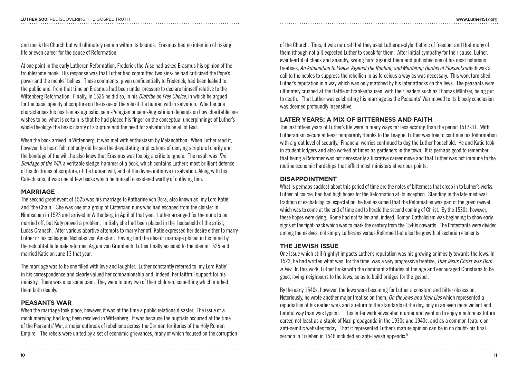and mock the Church but will ultimately remain within its bounds. Erasmus had no intention of risking life or even career for the cause of Reformation.

At one point in the early Lutheran Reformation, Frederick the Wise had asked Erasmus his opinion of the troublesome monk. His response was that Luther had committed two sins: he had criticised the Pope's power and the monks' bellies. These comments, given confidentially to Frederick, had been leaked to the public and, from that time on Erasmus had been under pressure to declare himself relative to the Wittenberg Reformation. Finally, in 1525 he did so, in his *Diatribe on Free Choice*, in which he argued for the basic opacity of scripture on the issue of the role of the human will in salvation. Whether one characterises his position as agnostic, semi-Pelagian or semi-Augustinian depends on how charitable one wishes to be; what is certain is that he had placed his finger on the conceptual underpinnings of Luther's whole theology: the basic clarity of scripture and the need for salvation to be all of God.

When the book arrived in Wittenberg, it was met with enthusiasm by Melanchthon. When Luther read it, however, his heart fell: not only did he see the devastating implications of denying scriptural clarity and the bondage of the will; he also knew that Erasmus was too big a critic to ignore. The result was *The Bondage of the Will*, a veritable sledge-hammer of a book, which contains Luther's most brilliant defence of his doctrines of scripture, of the human will, and of the divine initiative in salvation. Along with his Catechisms, it was one of few books which he himself considered worthy of outliving him.

#### **MARRIAGE**

The second great event of 1525 was his marriage to Katharine von Bora, also known as 'my Lord Katie' and 'the Chain.' She was one of a group of Cistercian nuns who had escaped from the cloister in Nimbschen in 1523 and arrived in Wittenberg in April of that year. Luther arranged for the nuns to be married off, but Katy proved a problem. Initially she had been placed in the household of the artist, Lucas Cranach. After various abortive attempts to marry her off, Katie expressed her desire either to marry Luther or his colleague, Nicholas von Amsdorf. Having had the idea of marriage placed in his mind by the redoubtable female reformer, Argula von Grumbach, Luther finally acceded to the idea in 1525 and married Katie on June 13 that year.

The marriage was to be one filled with love and laughter. Luther constantly referred to 'my Lord Katie' in his correspondence and clearly valued her companionship and, indeed, her faithful support for his ministry. There was also some pain. They were to bury two of their children, something which marked them both deeply.

#### **PEASANTS WAR**

When the marriage took place, however, it was at the time a public relations disaster. The issue of a monk marrying had long been resolved in Wittenberg. It was because the nuptials occurred at the time of the Peasants' War, a major outbreak of rebellions across the German territories of the Holy Roman Empire. The rebels were united by a set of economic grievances, many of which focused on the corruption

of the Church. Thus, it was natural that they used Lutheran-style rhetoric of freedom and that many of them (though not all) expected Luther to speak for them. After initial sympathy for their cause, Luther, ever fearful of chaos and anarchy, swung hard against them and published one of his most notorious treatises, *An Admonition to Peace, Against the Robbing and Murdering Hordes of Peasants* which was a call to the nobles to suppress the rebellion in as ferocious a way as was necessary. This work tarnished Luther's reputation in a way which was only matched by his later attacks on the Jews. The peasants were ultimately crushed at the Battle of Frankenhausen, with their leaders such as Thomas Müntzer, being put to death. That Luther was celebrating his marriage as the Peasants' War moved to its bloody conclusion was deemed profoundly insensitive.

#### **LATER YEARS: A MIX OF BITTERNESS AND FAITH**

The last fifteen years of Luther's life were in many ways far less exciting than the period 1517-31. With Lutheranism secure at least temporarily thanks to the League, Luther was free to continue his Reformation with a great level of security. Financial worries continued to dog the Luther household. He and Katie took in student lodgers and also worked at times as gardeners in the town. It is perhaps good to remember that being a Reformer was not necessarily a lucrative career move and that Luther was not immune to the routine economic hardships that afflict most ministers at various points.

#### **DISAPPOINTMENT**

What is perhaps saddest about this period of time are the notes of bitterness that creep in to Luther's works. Luther, of course, had had high hopes for the Reformation at its inception. Standing in the late medieval tradition of eschatological expectation, he had assumed that the Reformation was part of the great revival which was to come at the end of time and to herald the second coming of Christ. By the 1530s, however, these hopes were dying. Rome had not fallen and, indeed, Roman Catholicism was beginning to show early signs of the fight-back which was to mark the century from the 1540s onwards. The Protestants were divided among themselves, not simply Lutherans versus Reformed but also the growth of sectarian elements.

#### **THE JEWISH ISSUE**

One issue which still (rightly) impacts Luther's reputation was his growing animosity towards the Jews. In 1523, he had written what was, for the time, was a very progressive treatise, *That Jesus Christ was Born a Jew*. In this work, Luther broke with the dominant attitudes of the age and encouraged Christians to be good, loving neighbours to the Jews, so as to build bridges for the gospel.

By the early 1540s, however, the Jews were becoming for Luther a constant and bitter obsession. Notoriously, he wrote another major treatise on them, *On the Jews and their Lies* which represented a repudiation of his earlier work and a return to the standards of the day, only in an even more violent and hateful way than was typical. This latter work advocated murder and went on to enjoy a notorious future career, not least as a staple of Nazi propaganda in the 1930s and 1940s, and as a common feature on anti-semitic websites today. That it represented Luther's mature opinion can be in no doubt: his final sermon in Eisleben in 1546 included an anti-Jewish appendix.<sup>5</sup>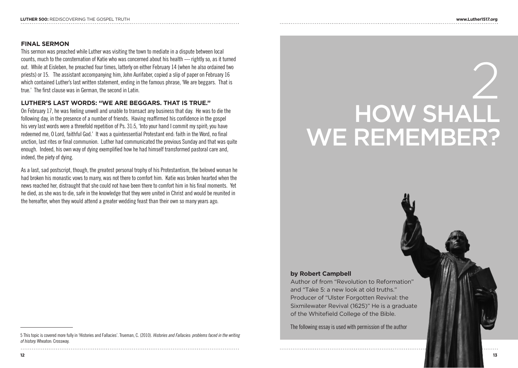#### **FINAL SERMON**

This sermon was preached while Luther was visiting the town to mediate in a dispute between local counts, much to the consternation of Katie who was concerned about his health --- rightly so, as it turned out. While at Eisleben, he preached four times, latterly on either February 14 (when he also ordained two priests) or 15. The assistant accompanying him, John Aurifaber, copied a slip of paper on February 16 which contained Luther's last written statement, ending in the famous phrase, 'We are beggars. That is true.' The first clause was in German, the second in Latin.

#### **LUTHER'S LAST WORDS: "WE ARE BEGGARS. THAT IS TRUE."**

On February 17, he was feeling unwell and unable to transact any business that day. He was to die the following day, in the presence of a number of friends. Having reaffirmed his confidence in the gospel his very last words were a threefold repetition of Ps. 31:5, 'Into your hand I commit my spirit; you have redeemed me, O Lord, faithful God.' It was a quintessential Protestant end: faith in the Word, no final unction, last rites or final communion. Luther had communicated the previous Sunday and that was quite enough. Indeed, his own way of dying exemplified how he had himself transformed pastoral care and, indeed, the piety of dying.

As a last, sad postscript, though, the greatest personal trophy of his Protestantism, the beloved woman he had broken his monastic vows to marry, was not there to comfort him. Katie was broken hearted when the news reached her, distraught that she could not have been there to comfort him in his final moments. Yet he died, as she was to die, safe in the knowledge that they were united in Christ and would be reunited in the hereafter, when they would attend a greater wedding feast than their own so many years ago.

# 2 HOW SHALL WE REMEMBER?

#### **by Robert Campbell**

Author of from "Revolution to Reformation" and "Take 5: a new look at old truths." Producer of "Ulster Forgotten Revival: the Sixmilewater Revival (1625)" He is a graduate of the Whitefield College of the Bible.

The following essay is used with permission of the author

<sup>5</sup> This topic is covered more fully in 'Histories and Fallacies'. Trueman, C. (2010). *Histories and Fallacies: problems faced in the writing of history.* Wheaton: Crossway.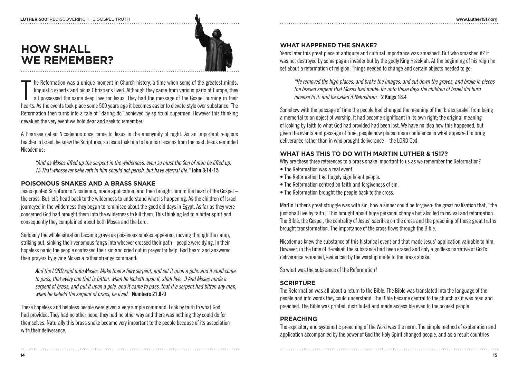### **HOW SHALL WE REMEMBER?**



he Reformation was a unique moment in Church history, a time when some of the greatest minds, linguistic experts and pious Christians lived. Although they came from various parts of Europe, they all possessed the same deep he Reformation was a unique moment in Church history, a time when some of the greatest minds, linguistic experts and pious Christians lived. Although they came from various parts of Europe, they all possessed the same deep love for Jesus. They had the message of the Gospel burning in their Reformation then turns into a tale of "daring-do" achieved by spiritual supermen. However this thinking devalues the very event we hold dear and seek to remember.

A Pharisee called Nicodemus once came to Jesus in the anonymity of night. As an important religious teacher in Israel, he knew the Scriptures, so Jesus took him to familiar lessons from the past. Jesus reminded Nicodemus:

*"And as Moses lifted up the serpent in the wilderness, even so must the Son of man be lifted up: 15 That whosoever believeth in him should not perish, but have eternal life."* **John 3:14-15**

#### **POISONOUS SNAKES AND A BRASS SNAKE**

Jesus quoted Scripture to Nicodemus, made application, and then brought him to the heart of the Gospel – the cross. But let's head back to the wilderness to understand what is happening. As the children of Israel journeyed in the wilderness they began to reminisce about the good old days in Egypt. As far as they were concerned God had brought them into the wilderness to kill them. This thinking led to a bitter spirit and consequently they complained about both Moses and the Lord.

Suddenly the whole situation became grave as poisonous snakes appeared, moving through the camp, striking out, sinking their venomous fangs into whoever crossed their path - people were dying. In their hopeless panic the people confessed their sin and cried out in prayer for help. God heard and answered their prayers by giving Moses a rather strange command:

*And the LORD said unto Moses, Make thee a fiery serpent, and set it upon a pole: and it shall come to pass, that every one that is bitten, when he looketh upon it, shall live. 9 And Moses made a serpent of brass, and put it upon a pole, and it came to pass, that if a serpent had bitten any man, when he beheld the serpent of brass, he lived."* **Numbers 21:8-9**

These hopeless and helpless people were given a very simple command. Look by faith to what God had provided. They had no other hope, they had no other way and there was nothing they could do for themselves. Naturally this brass snake became very important to the people because of its association with their deliverance.

#### **WHAT HAPPENED THE SNAKE?**

Years later this great piece of antiquity and cultural importance was smashed! But who smashed it? It was not destroyed by some pagan invader but by the godly King Hezekiah. At the beginning of his reign he set about a reformation of religion. Things needed to change and certain objects needed to go:

*"He removed the high places, and brake the images, and cut down the groves, and brake in pieces the brasen serpent that Moses had made: for unto those days the children of Israel did burn incense to it: and he called it Nehushtan."* **2 Kings 18:4**

Somehow with the passage of time the people had changed the meaning of the 'brass snake' from being a memorial to an object of worship. It had become significant in its own right; the original meaning of looking by faith to what God had provided had been lost. We have no idea how this happened, but given the events and passage of time, people now placed more confidence in what appeared to bring deliverance rather than in who brought deliverance – the LORD God.

#### **WHAT HAS THIS TO DO WITH MARTIN LUTHER & 1517?**

Why are these three references to a brass snake important to us as we remember the Reformation?

- The Reformation was a real event.
- The Reformation had hugely significant people.
- The Reformation centred on faith and forgiveness of sin.
- The Reformation brought the people back to the cross.

Martin Luther's great struggle was with sin, how a sinner could be forgiven; the great realisation that, "the just shall live by faith." This brought about huge personal change but also led to revival and reformation. The Bible, the Gospel, the centrality of Jesus' sacrifice on the cross and the preaching of these great truths brought transformation. The importance of the cross flows through the Bible.

Nicodemus knew the substance of this historical event and that made Jesus' application valuable to him. However, in the time of Hezekiah the substance had been erased and only a godless narrative of God's deliverance remained, evidenced by the worship made to the brass snake.

So what was the substance of the Reformation?

#### **SCRIPTURE**

The Reformation was all about a return to the Bible. The Bible was translated into the language of the people and into words they could understand. The Bible became central to the church as it was read and preached. The Bible was printed, distributed and made accessible even to the poorest people.

#### **PREACHING**

The expository and systematic preaching of the Word was the norm. The simple method of explanation and application accompanied by the power of God the Holy Spirit changed people, and as a result countries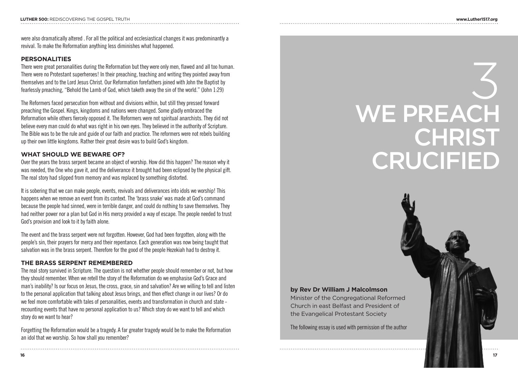were also dramatically altered . For all the political and ecclesiastical changes it was predominantly a revival. To make the Reformation anything less diminishes what happened.

#### **PERSONALITIES**

There were great personalities during the Reformation but they were only men, flawed and all too human. There were no Protestant superheroes! In their preaching, teaching and writing they pointed away from themselves and to the Lord Jesus Christ. Our Reformation forefathers joined with John the Baptist by fearlessly preaching, "Behold the Lamb of God, which taketh away the sin of the world." (John 1:29)

The Reformers faced persecution from without and divisions within, but still they pressed forward preaching the Gospel. Kings, kingdoms and nations were changed. Some gladly embraced the Reformation while others fiercely opposed it. The Reformers were not spiritual anarchists. They did not believe every man could do what was right in his own eyes. They believed in the authority of Scripture. The Bible was to be the rule and guide of our faith and practice. The reformers were not rebels building up their own little kingdoms. Rather their great desire was to build God's kingdom.

#### **WHAT SHOULD WE BEWARE OF?**

Over the years the brass serpent became an object of worship. How did this happen? The reason why it was needed, the One who gave it, and the deliverance it brought had been eclipsed by the physical gift. The real story had slipped from memory and was replaced by something distorted.

It is sobering that we can make people, events, revivals and deliverances into idols we worship! This happens when we remove an event from its context. The 'brass snake' was made at God's command because the people had sinned, were in terrible danger, and could do nothing to save themselves. They had neither power nor a plan but God in His mercy provided a way of escape. The people needed to trust God's provision and look to it by faith alone.

The event and the brass serpent were not forgotten. However, God had been forgotten, along with the people's sin, their prayers for mercy and their repentance. Each generation was now being taught that salvation was in the brass serpent. Therefore for the good of the people Hezekiah had to destroy it.

#### **THE BRASS SERPENT REMEMBERED**

The real story survived in Scripture. The question is not whether people should remember or not, but how they should remember. When we retell the story of the Reformation do we emphasise God's Grace and man's inability? Is our focus on Jesus, the cross, grace, sin and salvation? Are we willing to tell and listen to the personal application that talking about Jesus brings, and then effect change in our lives? Or do we feel more comfortable with tales of personalities, events and transformation in church and state recounting events that have no personal application to us? Which story do we want to tell and which story do we want to hear?

Forgetting the Reformation would be a tragedy. A far greater tragedy would be to make the Reformation an idol that we worship. So how shall you remember?

## 3 WE PREACH **CHRIST CRUCIFIED**

#### **by Rev Dr William J Malcolmson**

Minister of the Congregational Reformed Church in east Belfast and President of the Evangelical Protestant Society

The following essay is used with permission of the author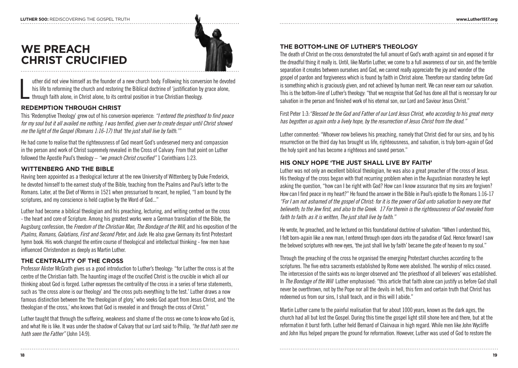

**WE PREACH CHRIST CRUCIFIED**

L uther did not view himself as the founder of a new church body. Following his conversion he devoted his life to reforming the church and restoring the Biblical doctrine of 'justification by grace alone, through faith alone, in Christ alone, to its central position in true Christian theology.

#### **REDEMPTION THROUGH CHRIST**

This 'Redemptive Theology' grew out of his conversion experience: *"I entered the priesthood to find peace for my soul but it all availed me nothing. I was terrified, given over to create despair until Christ showed me the light of the Gospel (Romans 1:16-17) that 'the just shall live by faith.'"*

He had come to realise that the righteousness of God meant God's undeserved mercy and compassion in the person and work of Christ supremely revealed in the Cross of Calvary. From that point on Luther followed the Apostle Paul's theology – *"we preach Christ crucified"* 1 Corinthians 1:23.

#### **WITTENBERG AND THE BIBLE**

Having been appointed as a theological lecturer at the new University of Wittenberg by Duke Frederick, he devoted himself to the earnest study of the Bible, teaching from the Psalms and Paul's letter to the Romans. Later, at the Diet of Worms in 1521 when pressurised to recant, he replied, "I am bound by the scriptures, and my conscience is held captive by the Word of God..."

Luther had become a biblical theologian and his preaching, lecturing, and writing centred on the cross - the heart and core of Scripture. Among his greatest works were a German translation of the Bible, the Augsburg confession, the *Freedom of the Christian Man*, *The Bondage of the Will*, and his exposition of the *Psalms, Romans, Galatians*, *First and Second Peter*, and *Jude*. He also gave Germany its first Protestant hymn book. His work changed the entire course of theological and intellectual thinking - few men have influenced Christendom as deeply as Martin Luther.

#### **THE CENTRALITY OF THE CROSS**

Professor Alister McGrath gives us a good introduction to Luther's theology: "for Luther the cross is at the centre of the Christian faith. The haunting image of the crucified Christ is the crucible in which all our thinking about God is forged. Luther expresses the centrality of the cross in a series of terse statements, such as 'the cross alone is our theology' and 'the cross puts everything to the test.' Luther draws a now famous distinction between the 'the theologian of glory,' who seeks God apart from Jesus Christ, and 'the theologian of the cross,' who knows that God is revealed in and through the cross of Christ."

Luther taught that through the suffering, weakness and shame of the cross we come to know who God is, and what He is like. It was under the shadow of Calvary that our Lord said to Philip, *"he that hath seen me hath seen the Father"* (John 14:9).

#### **THE BOTTOM-LINE OF LUTHER'S THEOLOGY**

The death of Christ on the cross demonstrated the full amount of God's wrath against sin and exposed it for the dreadful thing it really is. Until, like Martin Luther, we come to a full awareness of our sin, and the terrible separation it creates between ourselves and God, we cannot really appreciate the joy and wonder of the gospel of pardon and forgiveness which is found by faith in Christ alone. Therefore our standing before God is something which is graciously given, and not achieved by human merit. We can never earn our salvation. This is the bottom-line of Luther's theology: "that we recognise that God has done all that is necessary for our salvation in the person and finished work of his eternal son, our Lord and Saviour Jesus Christ."

First Peter 1:3:*"Blessed be the God and Father of our Lord Jesus Christ, who according to his great mercy has begotten us again onto a lively hope, by the resurrection of Jesus Christ from the dead."*

Luther commented: "Whoever now believes his preaching, namely that Christ died for our sins, and by his resurrection on the third day has brought us life, righteousness, and salvation, is truly born-again of God the holy spirit and has become a righteous and saved person."

#### **HIS ONLY HOPE 'THE JUST SHALL LIVE BY FAITH'**

Luther was not only an excellent biblical theologian, he was also a great preacher of the cross of Jesus. His theology of the cross began with that recurring problem when in the Augustinian monastery he kept asking the question, "how can I be right with God? How can I know assurance that my sins are forgiven? How can I find peace in my heart?" He found the answer in the Bible in Paul's epistle to the Romans 1:16-17 *"For I am not ashamed of the gospel of Christ: for it is the power of God unto salvation to every one that believeth; to the Jew first, and also to the Greek. 17 For therein is the righteousness of God revealed from faith to faith: as it is written, The just shall live by faith."*

He wrote, he preached, and he lectured on this foundational doctrine of salvation: "When I understood this, I felt born-again like a new man, I entered through open doors into the paradise of God. Hence forward I saw the beloved scriptures with new eyes, 'the just shall live by faith' became the gate of heaven to my soul."

Through the preaching of the cross he organised the emerging Protestant churches according to the scriptures. The five extra sacraments established by Rome were abolished. The worship of relics ceased. The intercession of the saints was no longer observed and 'the priesthood of all believers' was established. In *The Bondage of the Will* Luther emphasised: "this article that faith alone can justify us before God shall never be overthrown, not by the Pope nor all the devils in hell, this firm and certain truth that Christ has redeemed us from our sins, I shall teach, and in this will I abide."

Martin Luther came to the painful realisation that for about 1000 years, known as the dark ages, the church had all but lost the Gospel. During this time the gospel light still shone here and there, but at the reformation it burst forth. Luther held Bernard of Clairvaux in high regard. While men like John Wycliffe and John Hus helped prepare the ground for reformation. However, Luther was used of God to restore the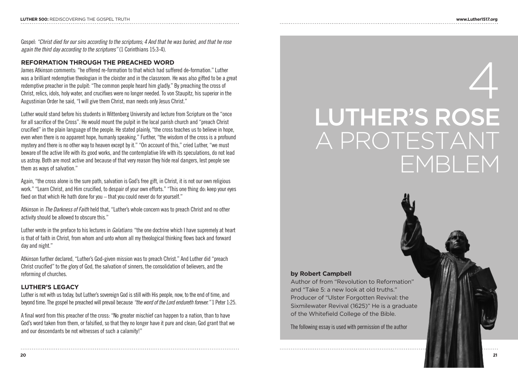Gospel: *"Christ died for our sins according to the scriptures; 4 And that he was buried, and that he rose again the third day according to the scriptures"* (1 Corinthians 15:3-4).

#### **REFORMATION THROUGH THE PREACHED WORD**

James Atkinson comments: "he offered re-formation to that which had suffered de-formation." Luther was a brilliant redemptive theologian in the cloister and in the classroom. He was also gifted to be a great redemptive preacher in the pulpit: "The common people heard him gladly." By preaching the cross of Christ, relics, idols, holy water, and crucifixes were no longer needed. To von Staupitz, his superior in the Augustinian Order he said, "I will give them Christ, man needs only Jesus Christ."

Luther would stand before his students in Wittenberg University and lecture from Scripture on the "once for all sacrifice of the Cross". He would mount the pulpit in the local parish church and "preach Christ crucified" in the plain language of the people. He stated plainly, "the cross teaches us to believe in hope, even when there is no apparent hope, humanly speaking." Further, "the wisdom of the cross is a profound mystery and there is no other way to heaven except by it." "On account of this," cried Luther, "we must beware of the active life with its good works, and the contemplative life with its speculations, do not lead us astray. Both are most active and because of that very reason they hide real dangers, lest people see them as ways of salvation."

Again, "the cross alone is the sure path, salvation is God's free gift, in Christ, it is not our own religious work." "Learn Christ, and Him crucified, to despair of your own efforts." "This one thing do: keep your eyes fixed on that which He hath done for you – that you could never do for yourself."

Atkinson in *The Darkness of Faith* held that, "Luther's whole concern was to preach Christ and no other activity should be allowed to obscure this."

Luther wrote in the preface to his lectures in *Galatians*: "the one doctrine which I have supremely at heart is that of faith in Christ, from whom and unto whom all my theological thinking flows back and forward day and night."

Atkinson further declared, "Luther's God-given mission was to preach Christ." And Luther did "preach Christ crucified" to the glory of God, the salvation of sinners, the consolidation of believers, and the reforming of churches.

#### **LUTHER'S LEGACY**

Luther is not with us today, but Luther's sovereign God is still with His people, now, to the end of time, and beyond time. The gospel he preached will prevail because *"the word of the Lord endureth forever."* 1 Peter 1:25.

A final word from this preacher of the cross: "No greater mischief can happen to a nation, than to have God's word taken from them, or falsified, so that they no longer have it pure and clean; God grant that we and our descendants be not witnesses of such a calamity!"

## 4 LUTHER'S ROSE A PROTESTANT EMBLEM

#### **by Robert Campbell**

Author of from "Revolution to Reformation" and "Take 5: a new look at old truths." Producer of "Ulster Forgotten Revival: the Sixmilewater Revival (1625)" He is a graduate of the Whitefield College of the Bible.

The following essay is used with permission of the author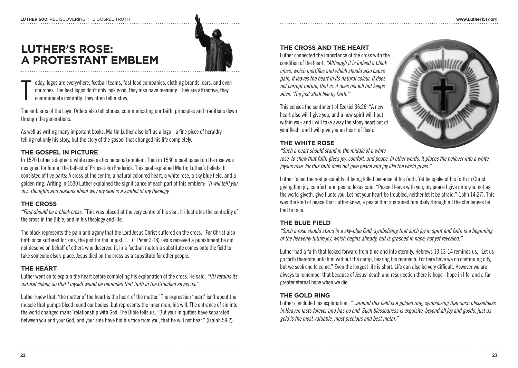

**LUTHER'S ROSE: A PROTESTANT EMBLEM**

T oday, logos are everywhere, football teams, fast food companies, clothing brands, cars, and even churches. The best logos don't only look good, they also have meaning. They are attractive, they communicate instantly. They often tell a story.

The emblems of the Loyal Orders also tell stories, communicating our faith, principles and traditions down through the generations.

As well as writing many important books. Martin Luther also left us a logo - a fine piece of heraldry telling not only his story, but the story of the gospel that changed his life completely.

#### **THE GOSPEL IN PICTURE**

In 1520 Luther adopted a white rose as his personal emblem. Then in 1530 a seal based on the rose was designed for him at the behest of Prince John Frederick. This seal explained Martin Luther's beliefs. It consisted of five parts: A cross at the centre, a natural coloured heart, a white rose, a sky blue field, and a golden ring. Writing in 1530 Luther explained the significance of each part of this emblem: *"[I will tell] you my...thoughts and reasons about why my seal is a symbol of my theology."*

#### **THE CROSS**

*"First should be a black cross."* This was placed at the very centre of his seal. It illustrates the centrality of the cross in the Bible, and in his theology and life.

The black represents the pain and agony that the Lord Jesus Christ suffered on the cross. "For Christ also hath once suffered for sins, the just for the unjust..." (1 Peter 3:18) Jesus received a punishment he did not deserve on behalf of others who deserved it. In a football match a substitute comes onto the field to take someone else's place. Jesus died on the cross as a substitute for other people.

#### **THE HEART**

Luther went on to explain the heart before completing his explanation of the cross. He said, *"[it] retains its natural colour, so that I myself would be reminded that faith in the Crucified saves us."*

Luther knew that, 'the matter of the heart is the heart of the matter.' The expression 'heart' isn't about the muscle that pumps blood round our bodies, but represents the inner man, his will. The entrance of sin into the world changed mans' relationship with God. The Bible tells us, "But your iniquities have separated between you and your God, and your sins have hid his face from you, that he will not hear." (Isaiah 59:2)

#### **THE CROSS AND THE HEART**

Luther connected the importance of the cross with the condition of the heart: *"Although it is indeed a black cross, which mortifies and which should also cause pain, it leaves the heart in its natural colour. It does not corrupt nature, that is, it does not kill but keeps alive. 'The just shall live by faith.'"*

This echoes the sentiment of Ezekiel 36:26: "A new heart also will I give you, and a new spirit will I put within you: and I will take away the stony heart out of your flesh, and I will give you an heart of flesh."



#### **THE WHITE ROSE**

*"Such a heart should stand in the middle of a white* 

*rose, to show that faith gives joy, comfort, and peace. In other words, it places the believer into a white, joyous rose, for this faith does not give peace and joy like the world gives."*

Luther faced the real possibility of being killed because of his faith. Yet he spoke of his faith in Christ giving him joy, comfort, and peace. Jesus said, "Peace I leave with you, my peace I give unto you: not as the world giveth, give I unto you. Let not your heart be troubled, neither let it be afraid." (John 14:27). This was the kind of peace that Luther knew, a peace that sustained him daily through all the challenges he had to face.

#### **THE BLUE FIELD**

*"Such a rose should stand in a sky-blue field, symbolizing that such joy in spirit and faith is a beginning of the heavenly future joy, which begins already, but is grasped in hope, not yet revealed."*

Luther had a faith that looked forward from time and into eternity. Hebrews 13:13-14 reminds us, "Let us go forth therefore unto him without the camp, bearing his reproach. For here have we no continuing city, but we seek one to come." Even the longest life is short. Life can also be very difficult. However we are always to remember that because of Jesus' death and resurrection there is hope - hope in life, and a far greater eternal hope when we die.

#### **THE GOLD RING**

Luther concluded his explanation, *"...around this field is a golden ring, symbolizing that such blessedness in Heaven lasts forever and has no end. Such blessedness is exquisite, beyond all joy and goods, just as gold is the most valuable, most precious and best metal."*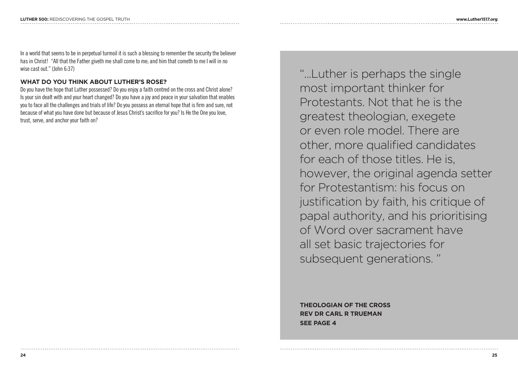In a world that seems to be in perpetual turmoil it is such a blessing to remember the security the believer has in Christ! "All that the Father giveth me shall come to me; and him that cometh to me I will in no wise cast out." (John 6:37)

#### **WHAT DO YOU THINK ABOUT LUTHER'S ROSE?**

Do you have the hope that Luther possessed? Do you enjoy a faith centred on the cross and Christ alone? Is your sin dealt with and your heart changed? Do you have a joy and peace in your salvation that enables you to face all the challenges and trials of life? Do you possess an eternal hope that is firm and sure, not because of what you have done but because of Jesus Christ's sacrifice for you? Is He the One you love, trust, serve, and anchor your faith on?

"...Luther is perhaps the single most important thinker for Protestants. Not that he is the greatest theologian, exegete or even role model. There are other, more qualified candidates for each of those titles. He is, however, the original agenda setter for Protestantism: his focus on justification by faith, his critique of papal authority, and his prioritising of Word over sacrament have all set basic trajectories for subsequent generations. "

**THEOLOGIAN OF THE CROSS REV DR CARL R TRUEMAN SEE PAGE 4**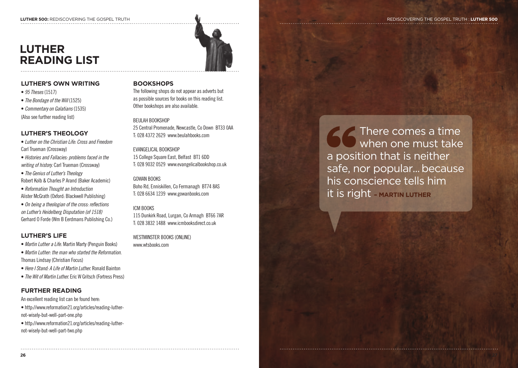#### **LUTHER 500:** REDISCOVERING THE GOSPEL TRUTH  $\blacksquare$

### **LUTHER READING LIST**



#### **LUTHER'S OWN WRITING**

- *95 Theses* (1517)
- *The Bondage of the Will* (1525)
- *Commentary on Galatians* (1535)

(Also see further reading list)

#### **LUTHER'S THEOLOGY**

- *Luther on the Christian Life: Cross and Freedom* Carl Trueman (Crossway)
- *Histories and Fallacies: problems faced in the writing of history.* Carl Trueman (Crossway)
- *The Genius of Luther's Theology* Robert Kolb & Charles P Arand (Baker Academic)
- *Reformation Thought an Introduction* Alister McGrath (Oxford: Blackwell Publishing)
- *On being a theologian of the cross: reflections on Luther's Heidelberg Disputation (of 1518)* Gerhard O Forde (Wm B Eerdmans Publishing Co.)

#### **LUTHER'S LIFE**

- *Martin Luther a Life.* Martin Marty (Penguin Books)
- *Martin Luther: the man who started the Reformation.* Thomas Lindsay (Christian Focus)
- *Here I Stand: A Life of Martin Luther.* Ronald Bainton
- *The Wit of Martin Luther.* Eric W Gritsch (Fortress Press)

#### **FURTHER READING**

- An excellent reading list can be found here:
- http://www.reformation21.org/articles/reading-luthernot-wisely-but-well-part-one.php
- http://www.reformation21.org/articles/reading-luthernot-wisely-but-well-part-two.php

#### **BOOKSHOPS**

The following shops do not appear as adverts but as possible sources for books on this reading list. Other bookshops are also available.

#### BEULAH BOOKSHOP

25 Central Promenade, Newcastle, Co Down BT33 0AA T: 028 4372 2629 www.beulahbooks.com

EVANGELICAL BOOKSHOP 15 College Square East, Belfast BT1 6DD T: 028 9032 0529 www.evangelicalbookshop.co.uk

#### GOWAN BOOKS

Boho Rd, Enniskillen, Co Fermanagh BT74 8AS T: 028 6634 1239 www.gowanbooks.com

#### ICM BOOKS

115 Dunkirk Road, Lurgan, Co Armagh BT66 7AR T: 028 3832 1488 www.icmbooksdirect.co.uk

WESTMINSTER BOOKS (ONLINE) www.wtsbooks.com

There comes a time when one must take a position that is neither safe, nor popular... because his conscience tells him it is right **– MARTIN LUTHER**